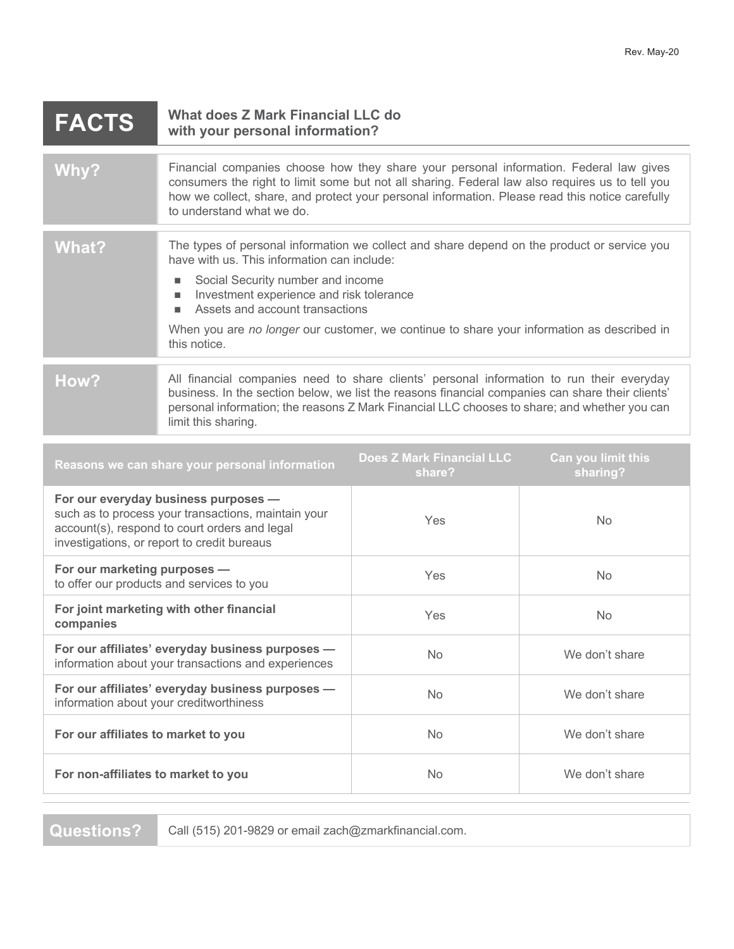| <b>FACTS</b> | What does Z Mark Financial LLC do<br>with your personal information?                                                                                                                                                                                                                                                                                                              |
|--------------|-----------------------------------------------------------------------------------------------------------------------------------------------------------------------------------------------------------------------------------------------------------------------------------------------------------------------------------------------------------------------------------|
| Why?         | Financial companies choose how they share your personal information. Federal law gives<br>consumers the right to limit some but not all sharing. Federal law also requires us to tell you<br>how we collect, share, and protect your personal information. Please read this notice carefully<br>to understand what we do.                                                         |
| <b>What?</b> | The types of personal information we collect and share depend on the product or service you<br>have with us. This information can include:<br>Social Security number and income<br>Investment experience and risk tolerance<br>ш<br>Assets and account transactions<br>When you are no longer our customer, we continue to share your information as described in<br>this notice. |
| How?         | All financial companies need to share clients' personal information to run their everyday<br>business. In the section below, we list the reasons financial companies can share their clients'<br>personal information; the reasons Z Mark Financial LLC chooses to share; and whether you can<br>limit this sharing.                                                              |

| Reasons we can share your personal information                                                                                                                                              | <b>Does Z Mark Financial LLC</b><br>share? | Can you limit this<br>sharing? |
|---------------------------------------------------------------------------------------------------------------------------------------------------------------------------------------------|--------------------------------------------|--------------------------------|
| For our everyday business purposes -<br>such as to process your transactions, maintain your<br>account(s), respond to court orders and legal<br>investigations, or report to credit bureaus | Yes                                        | <b>No</b>                      |
| For our marketing purposes -<br>to offer our products and services to you                                                                                                                   | Yes                                        | <b>No</b>                      |
| For joint marketing with other financial<br>companies                                                                                                                                       | Yes                                        | N <sub>o</sub>                 |
| For our affiliates' everyday business purposes -<br>information about your transactions and experiences                                                                                     | <b>No</b>                                  | We don't share                 |
| For our affiliates' everyday business purposes -<br>information about your creditworthiness                                                                                                 | <b>No</b>                                  | We don't share                 |
| For our affiliates to market to you                                                                                                                                                         | <b>No</b>                                  | We don't share                 |
| For non-affiliates to market to you                                                                                                                                                         | <b>No</b>                                  | We don't share                 |
|                                                                                                                                                                                             |                                            |                                |

**Questions?** Call (515) 201-9829 or email zach@zmarkfinancial.com.